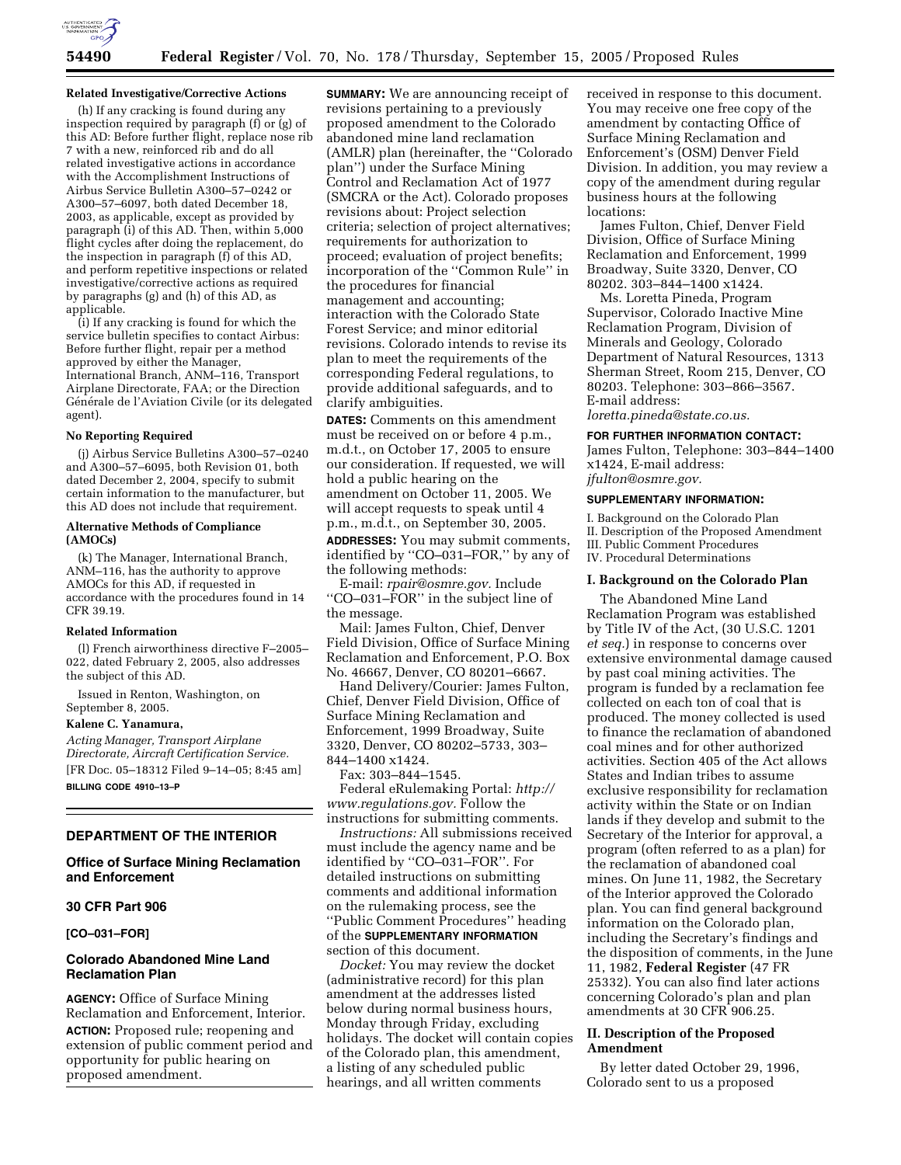

# **54490 Federal Register** / Vol. 70, No. 178 / Thursday, September 15, 2005 / Proposed Rules

#### **Related Investigative/Corrective Actions**

(h) If any cracking is found during any inspection required by paragraph (f) or (g) of this AD: Before further flight, replace nose rib 7 with a new, reinforced rib and do all related investigative actions in accordance with the Accomplishment Instructions of Airbus Service Bulletin A300–57–0242 or A300–57–6097, both dated December 18, 2003, as applicable, except as provided by paragraph (i) of this AD. Then, within 5,000 flight cycles after doing the replacement, do the inspection in paragraph (f) of this AD, and perform repetitive inspections or related investigative/corrective actions as required by paragraphs (g) and (h) of this AD, as applicable.

(i) If any cracking is found for which the service bulletin specifies to contact Airbus: Before further flight, repair per a method approved by either the Manager, International Branch, ANM–116, Transport Airplane Directorate, FAA; or the Direction Générale de l'Aviation Civile (or its delegated agent).

#### **No Reporting Required**

(j) Airbus Service Bulletins A300–57–0240 and A300–57–6095, both Revision 01, both dated December 2, 2004, specify to submit certain information to the manufacturer, but this AD does not include that requirement.

#### **Alternative Methods of Compliance (AMOCs)**

(k) The Manager, International Branch, ANM–116, has the authority to approve AMOCs for this AD, if requested in accordance with the procedures found in 14 CFR 39.19.

#### **Related Information**

(l) French airworthiness directive F–2005– 022, dated February 2, 2005, also addresses the subject of this AD.

Issued in Renton, Washington, on September 8, 2005.

#### **Kalene C. Yanamura,**

*Acting Manager, Transport Airplane Directorate, Aircraft Certification Service.*  [FR Doc. 05–18312 Filed 9–14–05; 8:45 am] **BILLING CODE 4910–13–P** 

# **DEPARTMENT OF THE INTERIOR**

# **Office of Surface Mining Reclamation and Enforcement**

## **30 CFR Part 906**

**[CO–031–FOR]** 

# **Colorado Abandoned Mine Land Reclamation Plan**

**AGENCY:** Office of Surface Mining Reclamation and Enforcement, Interior. **ACTION:** Proposed rule; reopening and extension of public comment period and opportunity for public hearing on proposed amendment.

**SUMMARY:** We are announcing receipt of revisions pertaining to a previously proposed amendment to the Colorado abandoned mine land reclamation (AMLR) plan (hereinafter, the ''Colorado plan'') under the Surface Mining Control and Reclamation Act of 1977 (SMCRA or the Act). Colorado proposes revisions about: Project selection criteria; selection of project alternatives; requirements for authorization to proceed; evaluation of project benefits; incorporation of the ''Common Rule'' in the procedures for financial management and accounting; interaction with the Colorado State Forest Service; and minor editorial revisions. Colorado intends to revise its plan to meet the requirements of the corresponding Federal regulations, to provide additional safeguards, and to clarify ambiguities.

**DATES:** Comments on this amendment must be received on or before 4 p.m., m.d.t., on October 17, 2005 to ensure our consideration. If requested, we will hold a public hearing on the amendment on October 11, 2005. We will accept requests to speak until 4 p.m., m.d.t., on September 30, 2005. **ADDRESSES:** You may submit comments, identified by ''CO–031–FOR,'' by any of the following methods:

E-mail: *rpair@osmre.gov.* Include ''CO–031–FOR'' in the subject line of the message.

Mail: James Fulton, Chief, Denver Field Division, Office of Surface Mining Reclamation and Enforcement, P.O. Box No. 46667, Denver, CO 80201–6667.

Hand Delivery/Courier: James Fulton, Chief, Denver Field Division, Office of Surface Mining Reclamation and Enforcement, 1999 Broadway, Suite 3320, Denver, CO 80202–5733, 303– 844–1400 x1424.

Fax: 303–844–1545. Federal eRulemaking Portal: *http:// www.regulations.gov.* Follow the instructions for submitting comments.

*Instructions:* All submissions received must include the agency name and be identified by ''CO–031–FOR''. For detailed instructions on submitting comments and additional information on the rulemaking process, see the ''Public Comment Procedures'' heading of the **SUPPLEMENTARY INFORMATION** section of this document.

*Docket:* You may review the docket (administrative record) for this plan amendment at the addresses listed below during normal business hours, Monday through Friday, excluding holidays. The docket will contain copies of the Colorado plan, this amendment, a listing of any scheduled public hearings, and all written comments

received in response to this document. You may receive one free copy of the amendment by contacting Office of Surface Mining Reclamation and Enforcement's (OSM) Denver Field Division. In addition, you may review a copy of the amendment during regular business hours at the following locations:

James Fulton, Chief, Denver Field Division, Office of Surface Mining Reclamation and Enforcement, 1999 Broadway, Suite 3320, Denver, CO 80202. 303–844–1400 x1424.

Ms. Loretta Pineda, Program Supervisor, Colorado Inactive Mine Reclamation Program, Division of Minerals and Geology, Colorado Department of Natural Resources, 1313 Sherman Street, Room 215, Denver, CO 80203. Telephone: 303–866–3567. E-mail address:

*loretta.pineda@state.co.us.* 

## **FOR FURTHER INFORMATION CONTACT:**

James Fulton, Telephone: 303–844–1400 x1424, E-mail address: *jfulton@osmre.gov.* 

#### **SUPPLEMENTARY INFORMATION:**

I. Background on the Colorado Plan II. Description of the Proposed Amendment III. Public Comment Procedures IV. Procedural Determinations

# **I. Background on the Colorado Plan**

The Abandoned Mine Land Reclamation Program was established by Title IV of the Act, (30 U.S.C. 1201 *et seq.*) in response to concerns over extensive environmental damage caused by past coal mining activities. The program is funded by a reclamation fee collected on each ton of coal that is produced. The money collected is used to finance the reclamation of abandoned coal mines and for other authorized activities. Section 405 of the Act allows States and Indian tribes to assume exclusive responsibility for reclamation activity within the State or on Indian lands if they develop and submit to the Secretary of the Interior for approval, a program (often referred to as a plan) for the reclamation of abandoned coal mines. On June 11, 1982, the Secretary of the Interior approved the Colorado plan. You can find general background information on the Colorado plan, including the Secretary's findings and the disposition of comments, in the June 11, 1982, **Federal Register** (47 FR 25332). You can also find later actions concerning Colorado's plan and plan amendments at 30 CFR 906.25.

## **II. Description of the Proposed Amendment**

By letter dated October 29, 1996, Colorado sent to us a proposed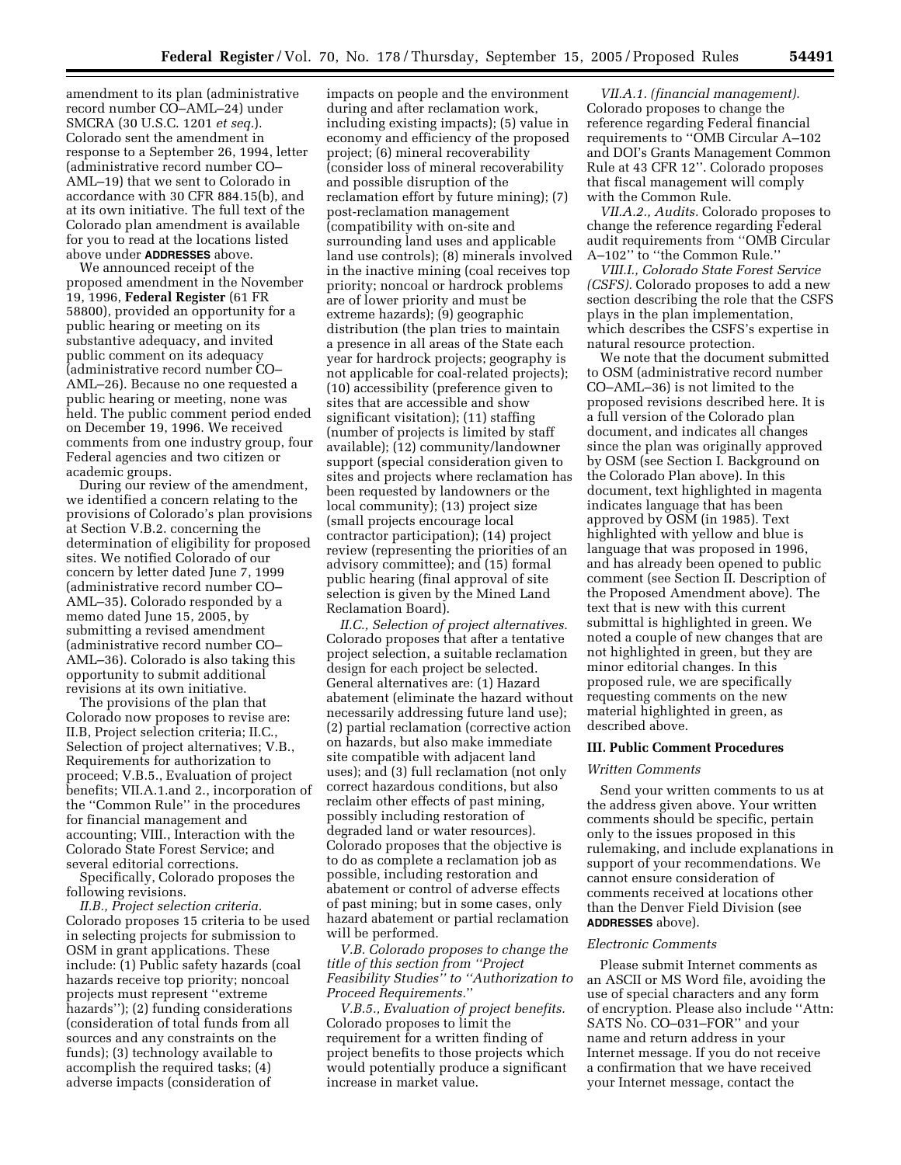amendment to its plan (administrative record number CO–AML–24) under SMCRA (30 U.S.C. 1201 *et seq.*). Colorado sent the amendment in response to a September 26, 1994, letter (administrative record number CO– AML–19) that we sent to Colorado in accordance with 30 CFR 884.15(b), and at its own initiative. The full text of the Colorado plan amendment is available for you to read at the locations listed above under **ADDRESSES** above.

We announced receipt of the proposed amendment in the November 19, 1996, **Federal Register** (61 FR 58800), provided an opportunity for a public hearing or meeting on its substantive adequacy, and invited public comment on its adequacy (administrative record number CO– AML–26). Because no one requested a public hearing or meeting, none was held. The public comment period ended on December 19, 1996. We received comments from one industry group, four Federal agencies and two citizen or academic groups.

During our review of the amendment, we identified a concern relating to the provisions of Colorado's plan provisions at Section V.B.2. concerning the determination of eligibility for proposed sites. We notified Colorado of our concern by letter dated June 7, 1999 (administrative record number CO– AML–35). Colorado responded by a memo dated June 15, 2005, by submitting a revised amendment (administrative record number CO– AML–36). Colorado is also taking this opportunity to submit additional revisions at its own initiative.

The provisions of the plan that Colorado now proposes to revise are: II.B, Project selection criteria; II.C., Selection of project alternatives; V.B., Requirements for authorization to proceed; V.B.5., Evaluation of project benefits; VII.A.1.and 2., incorporation of the ''Common Rule'' in the procedures for financial management and accounting; VIII., Interaction with the Colorado State Forest Service; and several editorial corrections.

Specifically, Colorado proposes the following revisions.

*II.B., Project selection criteria.*  Colorado proposes 15 criteria to be used in selecting projects for submission to OSM in grant applications. These include: (1) Public safety hazards (coal hazards receive top priority; noncoal projects must represent ''extreme hazards''); (2) funding considerations (consideration of total funds from all sources and any constraints on the funds); (3) technology available to accomplish the required tasks; (4) adverse impacts (consideration of

impacts on people and the environment during and after reclamation work, including existing impacts); (5) value in economy and efficiency of the proposed project; (6) mineral recoverability (consider loss of mineral recoverability and possible disruption of the reclamation effort by future mining); (7) post-reclamation management (compatibility with on-site and surrounding land uses and applicable land use controls); (8) minerals involved in the inactive mining (coal receives top priority; noncoal or hardrock problems are of lower priority and must be extreme hazards); (9) geographic distribution (the plan tries to maintain a presence in all areas of the State each year for hardrock projects; geography is not applicable for coal-related projects); (10) accessibility (preference given to sites that are accessible and show significant visitation); (11) staffing (number of projects is limited by staff available); (12) community/landowner support (special consideration given to sites and projects where reclamation has been requested by landowners or the local community); (13) project size (small projects encourage local contractor participation); (14) project review (representing the priorities of an advisory committee); and (15) formal public hearing (final approval of site selection is given by the Mined Land Reclamation Board).

*II.C., Selection of project alternatives.*  Colorado proposes that after a tentative project selection, a suitable reclamation design for each project be selected. General alternatives are: (1) Hazard abatement (eliminate the hazard without necessarily addressing future land use); (2) partial reclamation (corrective action on hazards, but also make immediate site compatible with adjacent land uses); and (3) full reclamation (not only correct hazardous conditions, but also reclaim other effects of past mining, possibly including restoration of degraded land or water resources). Colorado proposes that the objective is to do as complete a reclamation job as possible, including restoration and abatement or control of adverse effects of past mining; but in some cases, only hazard abatement or partial reclamation will be performed.

*V.B. Colorado proposes to change the title of this section from ''Project Feasibility Studies'' to ''Authorization to Proceed Requirements.*''

*V.B.5., Evaluation of project benefits.*  Colorado proposes to limit the requirement for a written finding of project benefits to those projects which would potentially produce a significant increase in market value.

*VII.A.1. (financial management).*  Colorado proposes to change the reference regarding Federal financial requirements to ''OMB Circular A–102 and DOI's Grants Management Common Rule at 43 CFR 12''. Colorado proposes that fiscal management will comply with the Common Rule.

*VII.A.2., Audits.* Colorado proposes to change the reference regarding Federal audit requirements from ''OMB Circular A–102'' to ''the Common Rule.''

*VIII.I., Colorado State Forest Service (CSFS).* Colorado proposes to add a new section describing the role that the CSFS plays in the plan implementation, which describes the CSFS's expertise in natural resource protection.

We note that the document submitted to OSM (administrative record number CO–AML–36) is not limited to the proposed revisions described here. It is a full version of the Colorado plan document, and indicates all changes since the plan was originally approved by OSM (see Section I. Background on the Colorado Plan above). In this document, text highlighted in magenta indicates language that has been approved by OSM (in 1985). Text highlighted with yellow and blue is language that was proposed in 1996, and has already been opened to public comment (see Section II. Description of the Proposed Amendment above). The text that is new with this current submittal is highlighted in green. We noted a couple of new changes that are not highlighted in green, but they are minor editorial changes. In this proposed rule, we are specifically requesting comments on the new material highlighted in green, as described above.

#### **III. Public Comment Procedures**

#### *Written Comments*

Send your written comments to us at the address given above. Your written comments should be specific, pertain only to the issues proposed in this rulemaking, and include explanations in support of your recommendations. We cannot ensure consideration of comments received at locations other than the Denver Field Division (see **ADDRESSES** above).

# *Electronic Comments*

Please submit Internet comments as an ASCII or MS Word file, avoiding the use of special characters and any form of encryption. Please also include ''Attn: SATS No. CO–031–FOR'' and your name and return address in your Internet message. If you do not receive a confirmation that we have received your Internet message, contact the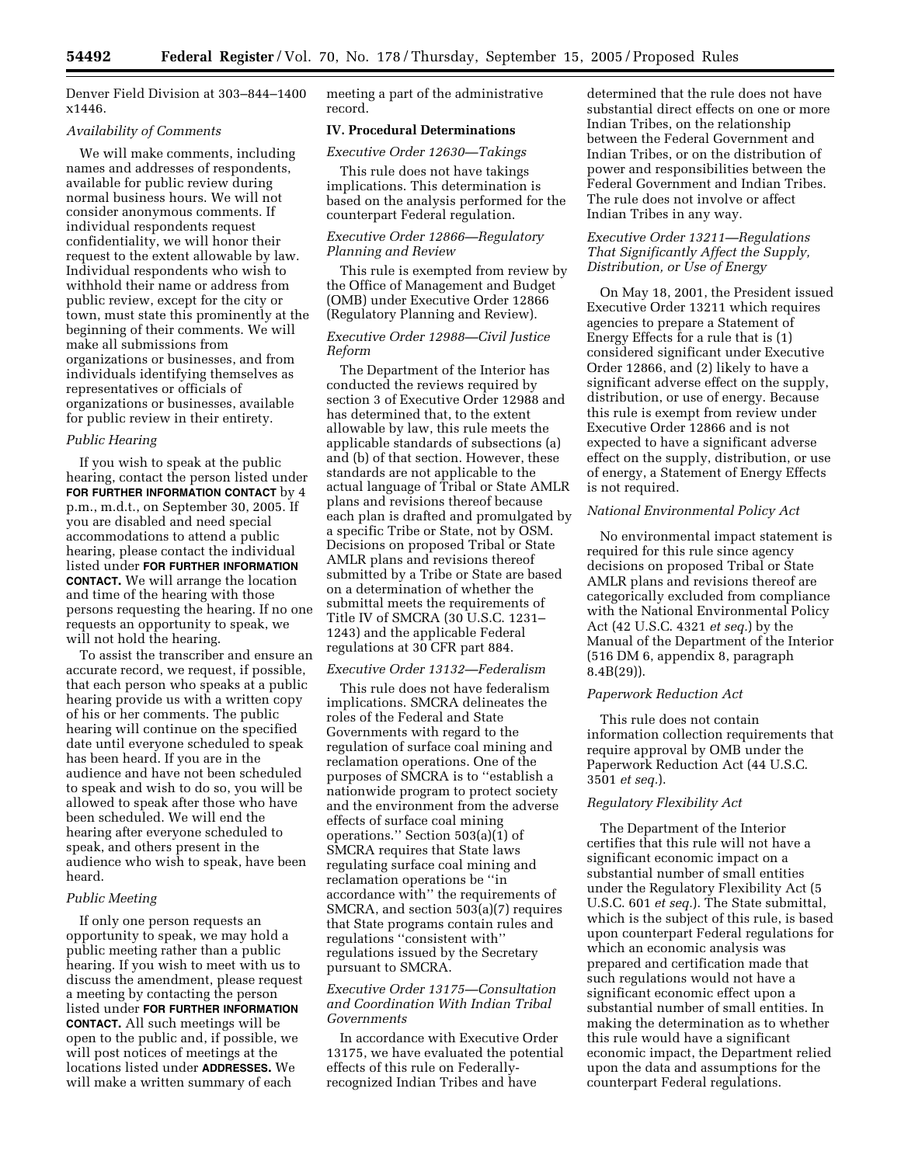Denver Field Division at 303–844–1400 x1446.

## *Availability of Comments*

We will make comments, including names and addresses of respondents, available for public review during normal business hours. We will not consider anonymous comments. If individual respondents request confidentiality, we will honor their request to the extent allowable by law. Individual respondents who wish to withhold their name or address from public review, except for the city or town, must state this prominently at the beginning of their comments. We will make all submissions from organizations or businesses, and from individuals identifying themselves as representatives or officials of organizations or businesses, available for public review in their entirety.

#### *Public Hearing*

If you wish to speak at the public hearing, contact the person listed under **FOR FURTHER INFORMATION CONTACT** by 4 p.m., m.d.t., on September 30, 2005. If you are disabled and need special accommodations to attend a public hearing, please contact the individual listed under **FOR FURTHER INFORMATION CONTACT.** We will arrange the location and time of the hearing with those persons requesting the hearing. If no one requests an opportunity to speak, we will not hold the hearing.

To assist the transcriber and ensure an accurate record, we request, if possible, that each person who speaks at a public hearing provide us with a written copy of his or her comments. The public hearing will continue on the specified date until everyone scheduled to speak has been heard. If you are in the audience and have not been scheduled to speak and wish to do so, you will be allowed to speak after those who have been scheduled. We will end the hearing after everyone scheduled to speak, and others present in the audience who wish to speak, have been heard.

#### *Public Meeting*

If only one person requests an opportunity to speak, we may hold a public meeting rather than a public hearing. If you wish to meet with us to discuss the amendment, please request a meeting by contacting the person listed under **FOR FURTHER INFORMATION CONTACT.** All such meetings will be open to the public and, if possible, we will post notices of meetings at the locations listed under **ADDRESSES.** We will make a written summary of each

meeting a part of the administrative record.

#### **IV. Procedural Determinations**

*Executive Order 12630—Takings* 

This rule does not have takings implications. This determination is based on the analysis performed for the counterpart Federal regulation.

## *Executive Order 12866—Regulatory Planning and Review*

This rule is exempted from review by the Office of Management and Budget (OMB) under Executive Order 12866 (Regulatory Planning and Review).

# *Executive Order 12988—Civil Justice Reform*

The Department of the Interior has conducted the reviews required by section 3 of Executive Order 12988 and has determined that, to the extent allowable by law, this rule meets the applicable standards of subsections (a) and (b) of that section. However, these standards are not applicable to the actual language of Tribal or State AMLR plans and revisions thereof because each plan is drafted and promulgated by a specific Tribe or State, not by OSM. Decisions on proposed Tribal or State AMLR plans and revisions thereof submitted by a Tribe or State are based on a determination of whether the submittal meets the requirements of Title IV of SMCRA (30 U.S.C. 1231– 1243) and the applicable Federal regulations at 30 CFR part 884.

## *Executive Order 13132—Federalism*

This rule does not have federalism implications. SMCRA delineates the roles of the Federal and State Governments with regard to the regulation of surface coal mining and reclamation operations. One of the purposes of SMCRA is to ''establish a nationwide program to protect society and the environment from the adverse effects of surface coal mining operations.'' Section 503(a)(1) of SMCRA requires that State laws regulating surface coal mining and reclamation operations be ''in accordance with'' the requirements of SMCRA, and section 503(a)(7) requires that State programs contain rules and regulations ''consistent with'' regulations issued by the Secretary pursuant to SMCRA.

# *Executive Order 13175—Consultation and Coordination With Indian Tribal Governments*

In accordance with Executive Order 13175, we have evaluated the potential effects of this rule on Federallyrecognized Indian Tribes and have

determined that the rule does not have substantial direct effects on one or more Indian Tribes, on the relationship between the Federal Government and Indian Tribes, or on the distribution of power and responsibilities between the Federal Government and Indian Tribes. The rule does not involve or affect Indian Tribes in any way.

# *Executive Order 13211—Regulations That Significantly Affect the Supply, Distribution, or Use of Energy*

On May 18, 2001, the President issued Executive Order 13211 which requires agencies to prepare a Statement of Energy Effects for a rule that is (1) considered significant under Executive Order 12866, and (2) likely to have a significant adverse effect on the supply, distribution, or use of energy. Because this rule is exempt from review under Executive Order 12866 and is not expected to have a significant adverse effect on the supply, distribution, or use of energy, a Statement of Energy Effects is not required.

## *National Environmental Policy Act*

No environmental impact statement is required for this rule since agency decisions on proposed Tribal or State AMLR plans and revisions thereof are categorically excluded from compliance with the National Environmental Policy Act (42 U.S.C. 4321 *et seq.*) by the Manual of the Department of the Interior (516 DM 6, appendix 8, paragraph 8.4B(29)).

# *Paperwork Reduction Act*

This rule does not contain information collection requirements that require approval by OMB under the Paperwork Reduction Act (44 U.S.C. 3501 *et seq.*).

## *Regulatory Flexibility Act*

The Department of the Interior certifies that this rule will not have a significant economic impact on a substantial number of small entities under the Regulatory Flexibility Act (5 U.S.C. 601 *et seq.*). The State submittal, which is the subject of this rule, is based upon counterpart Federal regulations for which an economic analysis was prepared and certification made that such regulations would not have a significant economic effect upon a substantial number of small entities. In making the determination as to whether this rule would have a significant economic impact, the Department relied upon the data and assumptions for the counterpart Federal regulations.